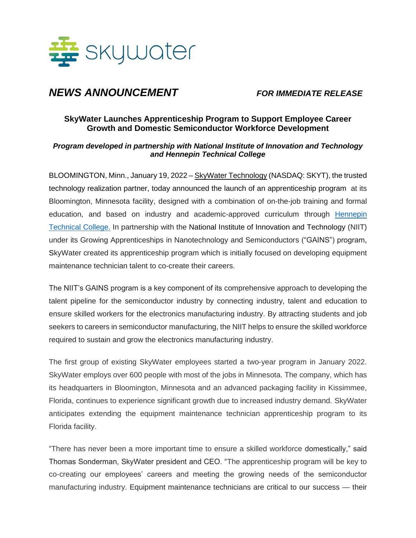

# *NEWS ANNOUNCEMENT FOR IMMEDIATE RELEASE*

## **SkyWater Launches Apprenticeship Program to Support Employee Career Growth and Domestic Semiconductor Workforce Development**

#### *Program developed in partnership with National Institute of Innovation and Technology and Hennepin Technical College*

BLOOMINGTON, Minn., January 19, 2022 – [SkyWater Technology](https://www.skywatertechnology.com/) (NASDAQ: SKYT), the trusted technology realization partner, today announced the launch of an apprenticeship program at its Bloomington, Minnesota facility, designed with a combination of on-the-job training and formal education, and based on industry and academic-approved curriculum through [Hennepin](https://hennepintech.edu/)  [Technical College.](https://hennepintech.edu/) In partnership with the National Institute of Innovation and Technology (NIIT) under its Growing Apprenticeships in Nanotechnology and Semiconductors ("GAINS") program, SkyWater created its apprenticeship program which is initially focused on developing equipment maintenance technician talent to co-create their careers.

The NIIT's GAINS program is a key component of its comprehensive approach to developing the talent pipeline for the semiconductor industry by connecting industry, talent and education to ensure skilled workers for the electronics manufacturing industry. By attracting students and job seekers to careers in semiconductor manufacturing, the NIIT helps to ensure the skilled workforce required to sustain and grow the electronics manufacturing industry.

The first group of existing SkyWater employees started a two-year program in January 2022. SkyWater employs over 600 people with most of the jobs in Minnesota. The company, which has its headquarters in Bloomington, Minnesota and an advanced packaging facility in Kissimmee, Florida, continues to experience significant growth due to increased industry demand. SkyWater anticipates extending the equipment maintenance technician apprenticeship program to its Florida facility.

"There has never been a more important time to ensure a skilled workforce domestically," said Thomas Sonderman, SkyWater president and CEO. "The apprenticeship program will be key to co-creating our employees' careers and meeting the growing needs of the semiconductor manufacturing industry. Equipment maintenance technicians are critical to our success — their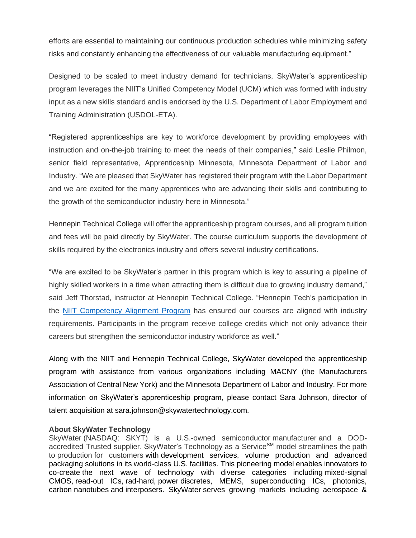efforts are essential to maintaining our continuous production schedules while minimizing safety risks and constantly enhancing the effectiveness of our valuable manufacturing equipment."

Designed to be scaled to meet industry demand for technicians, SkyWater's apprenticeship program leverages the NIIT's Unified Competency Model (UCM) which was formed with industry input as a new skills standard and is endorsed by the U.S. Department of Labor Employment and Training Administration (USDOL-ETA).

"Registered apprenticeships are key to workforce development by providing employees with instruction and on-the-job training to meet the needs of their companies," said Leslie Philmon, senior field representative, Apprenticeship Minnesota, Minnesota Department of Labor and Industry. "We are pleased that SkyWater has registered their program with the Labor Department and we are excited for the many apprentices who are advancing their skills and contributing to the growth of the semiconductor industry here in Minnesota."

Hennepin Technical College will offer the apprenticeship program courses, and all program tuition and fees will be paid directly by SkyWater. The course curriculum supports the development of skills required by the electronics industry and offers several industry certifications.

"We are excited to be SkyWater's partner in this program which is key to assuring a pipeline of highly skilled workers in a time when attracting them is difficult due to growing industry demand," said Jeff Thorstad, instructor at Hennepin Technical College. "Hennepin Tech's participation in the [NIIT Competency Alignment Program](https://www.careeronestop.org/competencymodel/competency-models/advanced-manufacturing.aspx) has ensured our courses are aligned with industry requirements. Participants in the program receive college credits which not only advance their careers but strengthen the semiconductor industry workforce as well."

Along with the NIIT and Hennepin Technical College, SkyWater developed the apprenticeship program with assistance from various organizations including MACNY (the Manufacturers Association of Central New York) and the Minnesota Department of Labor and Industry. For more information on SkyWater's apprenticeship program, please contact Sara Johnson, director of talent acquisition at sara.johnson@skywatertechnology.com.

### **About SkyWater Technology**

SkyWater (NASDAQ: SKYT) is a U.S.-owned semiconductor manufacturer and a DODaccredited Trusted supplier. SkyWater's Technology as a Service<sup>SM</sup> model streamlines the path to production for customers with development services, volume production and advanced packaging solutions in its world-class U.S. facilities. This pioneering model enables innovators to co-create the next wave of technology with diverse categories including mixed-signal CMOS, read-out ICs, rad-hard, power discretes, MEMS, superconducting ICs, photonics, carbon nanotubes and interposers. SkyWater serves growing markets including aerospace &